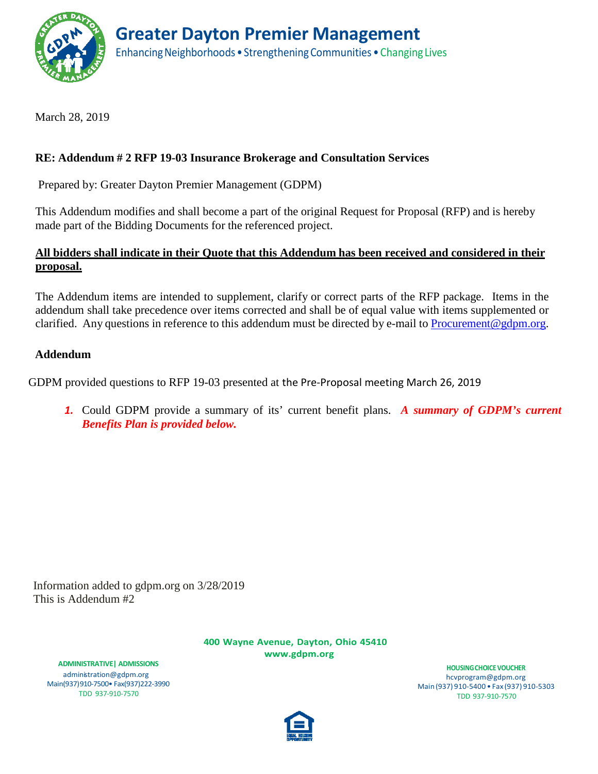

March 28, 2019

# **RE: Addendum # 2 RFP 19-03 Insurance Brokerage and Consultation Services**

Prepared by: Greater Dayton Premier Management (GDPM)

This Addendum modifies and shall become a part of the original Request for Proposal (RFP) and is hereby made part of the Bidding Documents for the referenced project.

## **All bidders shall indicate in their Quote that this Addendum has been received and considered in their proposal.**

The Addendum items are intended to supplement, clarify or correct parts of the RFP package. Items in the addendum shall take precedence over items corrected and shall be of equal value with items supplemented or clarified. Any questions in reference to this addendum must be directed by e-mail to [Procurement@gdpm.org.](mailto:Compliance@gdpm.org)

## **Addendum**

GDPM provided questions to RFP 19-03 presented at the Pre-Proposal meeting March 26, 2019

*1.* Could GDPM provide a summary of its' current benefit plans. *A summary of GDPM's current Benefits Plan is provided below.*

Information added to gdpm.org on 3/28/2019 This is Addendum #2

> **400 Wayne Avenue, Dayton, Ohio 4541[0](http://www.gdpm.org/) [www.gdpm.org](http://www.gdpm.org/)**

**ADMINISTRATIVE| ADMISSIONS** [administration@gdpm.org](mailto:administration@gdpm.org) Main(937)910-7500• Fax(937)222-3990 TDD 937-910-7570

**HOUSINGCHOICEVOUCHER** [hcvprogram@gdpm.org](mailto:hcvprogram@gdpm.org) Main(937) 910-5400 • Fax (937) 910-5303 TDD 937-910-7570